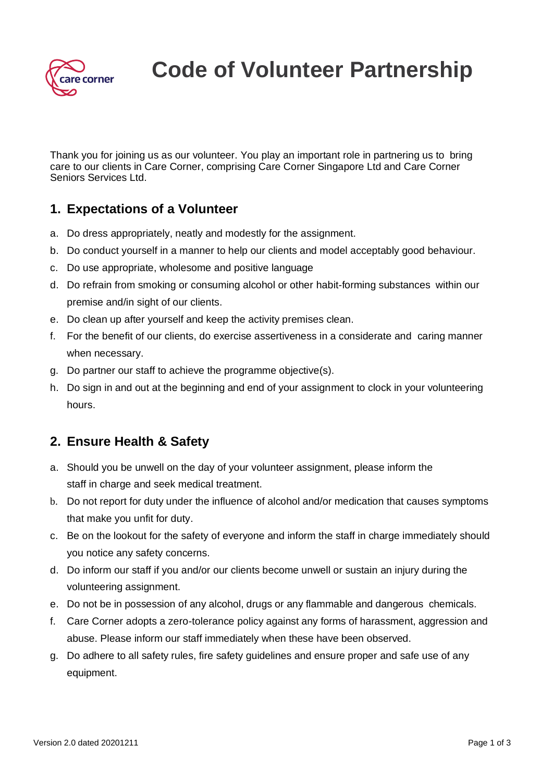

**Code of Volunteer Partnership**

Thank you for joining us as our volunteer. You play an important role in partnering us to bring care to our clients in Care Corner, comprising Care Corner Singapore Ltd and Care Corner Seniors Services Ltd.

### **1. Expectations of a Volunteer**

- a. Do dress appropriately, neatly and modestly for the assignment.
- b. Do conduct yourself in a manner to help our clients and model acceptably good behaviour.
- c. Do use appropriate, wholesome and positive language
- d. Do refrain from smoking or consuming alcohol or other habit-forming substances within our premise and/in sight of our clients.
- e. Do clean up after yourself and keep the activity premises clean.
- f. For the benefit of our clients, do exercise assertiveness in a considerate and caring manner when necessary.
- g. Do partner our staff to achieve the programme objective(s).
- h. Do sign in and out at the beginning and end of your assignment to clock in your volunteering hours.

# **2. Ensure Health & Safety**

- a. Should you be unwell on the day of your volunteer assignment, please inform the staff in charge and seek medical treatment.
- b. Do not report for duty under the influence of alcohol and/or medication that causes symptoms that make you unfit for duty.
- c. Be on the lookout for the safety of everyone and inform the staff in charge immediately should you notice any safety concerns.
- d. Do inform our staff if you and/or our clients become unwell or sustain an injury during the volunteering assignment.
- e. Do not be in possession of any alcohol, drugs or any flammable and dangerous chemicals.
- f. Care Corner adopts a zero-tolerance policy against any forms of harassment, aggression and abuse. Please inform our staff immediately when these have been observed.
- g. Do adhere to all safety rules, fire safety guidelines and ensure proper and safe use of any equipment.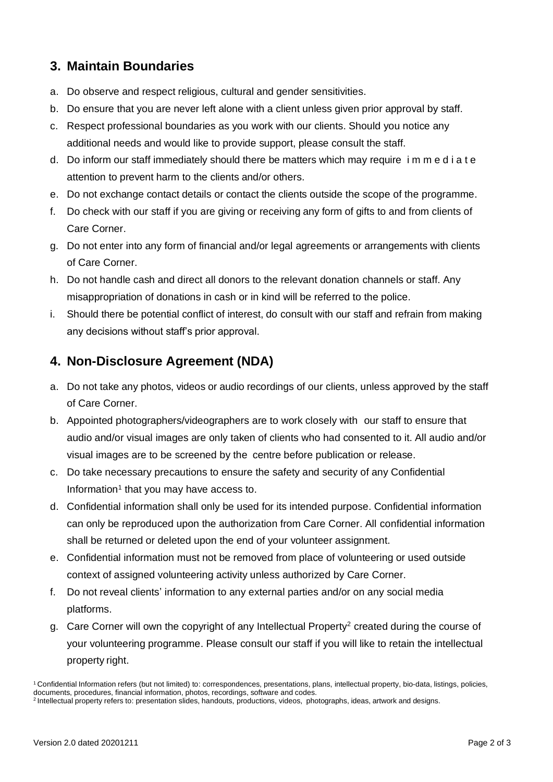### **3. Maintain Boundaries**

- a. Do observe and respect religious, cultural and gender sensitivities.
- b. Do ensure that you are never left alone with a client unless given prior approval by staff.
- c. Respect professional boundaries as you work with our clients. Should you notice any additional needs and would like to provide support, please consult the staff.
- d. Do inform our staff immediately should there be matters which may require i m m e d i a t e attention to prevent harm to the clients and/or others.
- e. Do not exchange contact details or contact the clients outside the scope of the programme.
- f. Do check with our staff if you are giving or receiving any form of gifts to and from clients of Care Corner.
- g. Do not enter into any form of financial and/or legal agreements or arrangements with clients of Care Corner.
- h. Do not handle cash and direct all donors to the relevant donation channels or staff. Any misappropriation of donations in cash or in kind will be referred to the police.
- i. Should there be potential conflict of interest, do consult with our staff and refrain from making any decisions without staff's prior approval.

# **4. Non-Disclosure Agreement (NDA)**

- a. Do not take any photos, videos or audio recordings of our clients, unless approved by the staff of Care Corner.
- b. Appointed photographers/videographers are to work closely with our staff to ensure that audio and/or visual images are only taken of clients who had consented to it. All audio and/or visual images are to be screened by the centre before publication or release.
- c. Do take necessary precautions to ensure the safety and security of any Confidential Information<sup>1</sup> that you may have access to.
- d. Confidential information shall only be used for its intended purpose. Confidential information can only be reproduced upon the authorization from Care Corner. All confidential information shall be returned or deleted upon the end of your volunteer assignment.
- e. Confidential information must not be removed from place of volunteering or used outside context of assigned volunteering activity unless authorized by Care Corner.
- f. Do not reveal clients' information to any external parties and/or on any social media platforms.
- g. Care Corner will own the copyright of any Intellectual Property<sup>2</sup> created during the course of your volunteering programme. Please consult our staff if you will like to retain the intellectual property right.

<sup>1</sup>Confidential Information refers (but not limited) to: correspondences, presentations, plans, intellectual property, bio-data, listings, policies, documents, procedures, financial information, photos, recordings, software and codes.

<sup>&</sup>lt;sup>2</sup> Intellectual property refers to: presentation slides, handouts, productions, videos, photographs, ideas, artwork and designs.